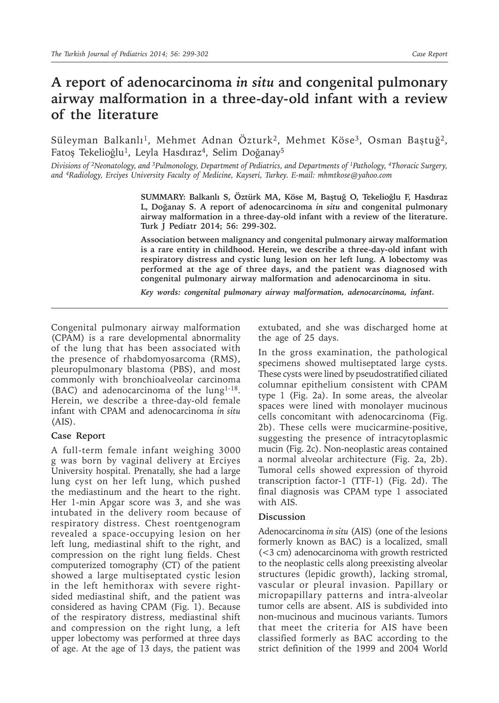## **A report of adenocarcinoma** *in situ* **and congenital pulmonary airway malformation in a three-day-old infant with a review of the literature**

Süleyman Balkanlı<sup>1</sup>, Mehmet Adnan Özturk<sup>2</sup>, Mehmet Köse<sup>3</sup>, Osman Baştuğ<sup>2</sup>, Fatoş Tekelioğlu<sup>1</sup>, Leyla Hasdıraz<sup>4</sup>, Selim Doğanay<sup>5</sup>

*Divisions of <sup>2</sup>Neonatology, and <sup>3</sup>Pulmonology, Department of Pediatrics, and Departments of <sup>1</sup>Pathology, <sup>4</sup>Thoracic Surgery, and 4Radiology, Erciyes University Faculty of Medicine, Kayseri, Turkey. E-mail: mhmtkose@yahoo.com*

> **SUMMARY: Balkanlı S, Öztürk MA, Köse M, Baştuğ O, Tekelioğlu F, Hasdıraz L, Doğanay S. A report of adenocarcinoma** *in situ* **and congenital pulmonary airway malformation in a three-day-old infant with a review of the literature. Turk J Pediatr 2014; 56: 299-302.**

> **Association between malignancy and congenital pulmonary airway malformation is a rare entity in childhood. Herein, we describe a three-day-old infant with respiratory distress and cystic lung lesion on her left lung. A lobectomy was performed at the age of three days, and the patient was diagnosed with congenital pulmonary airway malformation and adenocarcinoma in situ.**

*Key words: congenital pulmonary airway malformation, adenocarcinoma, infant.*

Congenital pulmonary airway malformation (CPAM) is a rare developmental abnormality of the lung that has been associated with the presence of rhabdomyosarcoma (RMS), pleuropulmonary blastoma (PBS), and most commonly with bronchioalveolar carcinoma (BAC) and adenocarcinoma of the lung1-18. Herein, we describe a three-day-old female infant with CPAM and adenocarcinoma *in situ* (AIS).

## **Case Report**

A full-term female infant weighing 3000 g was born by vaginal delivery at Erciyes University hospital. Prenatally, she had a large lung cyst on her left lung, which pushed the mediastinum and the heart to the right. Her 1-min Apgar score was 3, and she was intubated in the delivery room because of respiratory distress. Chest roentgenogram revealed a space-occupying lesion on her left lung, mediastinal shift to the right, and compression on the right lung fields. Chest computerized tomography (CT) of the patient showed a large multiseptated cystic lesion in the left hemithorax with severe rightsided mediastinal shift, and the patient was considered as having CPAM (Fig. 1). Because of the respiratory distress, mediastinal shift and compression on the right lung, a left upper lobectomy was performed at three days of age. At the age of 13 days, the patient was

extubated, and she was discharged home at the age of 25 days.

In the gross examination, the pathological specimens showed multiseptated large cysts. These cysts were lined by pseudostratified ciliated columnar epithelium consistent with CPAM type 1 (Fig. 2a). In some areas, the alveolar spaces were lined with monolayer mucinous cells concomitant with adenocarcinoma (Fig. 2b). These cells were mucicarmine-positive, suggesting the presence of intracytoplasmic mucin (Fig. 2c). Non-neoplastic areas contained a normal alveolar architecture (Fig. 2a, 2b). Tumoral cells showed expression of thyroid transcription factor-1 (TTF-1) (Fig. 2d). The final diagnosis was CPAM type 1 associated with AIS.

## **Discussion**

Adenocarcinoma *in situ* (AIS) (one of the lesions formerly known as BAC) is a localized, small (<3 cm) adenocarcinoma with growth restricted to the neoplastic cells along preexisting alveolar structures (lepidic growth), lacking stromal, vascular or pleural invasion. Papillary or micropapillary patterns and intra-alveolar tumor cells are absent. AIS is subdivided into non-mucinous and mucinous variants. Tumors that meet the criteria for AIS have been classified formerly as BAC according to the strict definition of the 1999 and 2004 World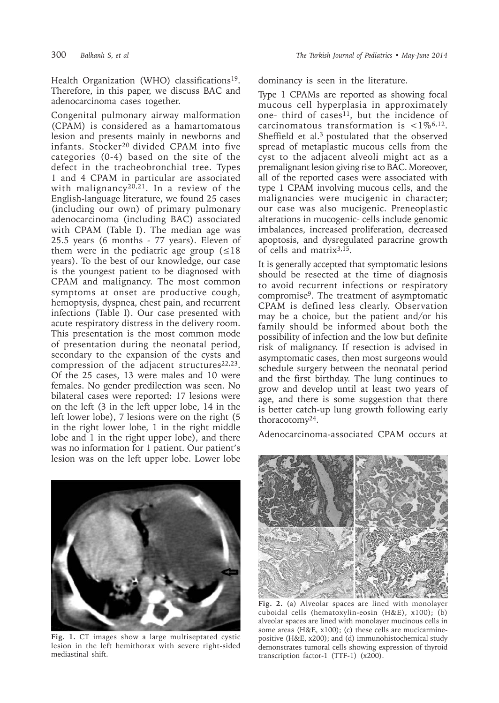Health Organization (WHO) classifications<sup>19</sup>. Therefore, in this paper, we discuss BAC and adenocarcinoma cases together.

Congenital pulmonary airway malformation (CPAM) is considered as a hamartomatous lesion and presents mainly in newborns and infants. Stocker20 divided CPAM into five categories (0-4) based on the site of the defect in the tracheobronchial tree. Types 1 and 4 CPAM in particular are associated with malignancy<sup>20,21</sup>. In a review of the English-language literature, we found 25 cases (including our own) of primary pulmonary adenocarcinoma (including BAC) associated with CPAM (Table I). The median age was 25.5 years (6 months - 77 years). Eleven of them were in the pediatric age group  $( \leq 18$ years). To the best of our knowledge, our case is the youngest patient to be diagnosed with CPAM and malignancy. The most common symptoms at onset are productive cough, hemoptysis, dyspnea, chest pain, and recurrent infections (Table I). Our case presented with acute respiratory distress in the delivery room. This presentation is the most common mode of presentation during the neonatal period, secondary to the expansion of the cysts and compression of the adjacent structures $22,23$ . Of the 25 cases, 13 were males and 10 were females. No gender predilection was seen. No bilateral cases were reported: 17 lesions were on the left (3 in the left upper lobe, 14 in the left lower lobe), 7 lesions were on the right (5 in the right lower lobe, 1 in the right middle lobe and 1 in the right upper lobe), and there was no information for 1 patient. Our patient's lesion was on the left upper lobe. Lower lobe



**Fig. 1.** CT images show a large multiseptated cystic lesion in the left hemithorax with severe right-sided mediastinal shift.

dominancy is seen in the literature.

Type 1 CPAMs are reported as showing focal mucous cell hyperplasia in approximately one- third of cases<sup>11</sup>, but the incidence of carcinomatous transformation is  $\langle 1\%^{6,12} \rangle$ . Sheffield et al.3 postulated that the observed spread of metaplastic mucous cells from the cyst to the adjacent alveoli might act as a premalignant lesion giving rise to BAC. Moreover, all of the reported cases were associated with type 1 CPAM involving mucous cells, and the malignancies were mucigenic in character; our case was also mucigenic. Preneoplastic alterations in mucogenic- cells include genomic imbalances, increased proliferation, decreased apoptosis, and dysregulated paracrine growth of cells and matrix3,15.

It is generally accepted that symptomatic lesions should be resected at the time of diagnosis to avoid recurrent infections or respiratory compromise9. The treatment of asymptomatic CPAM is defined less clearly. Observation may be a choice, but the patient and/or his family should be informed about both the possibility of infection and the low but definite risk of malignancy. If resection is advised in asymptomatic cases, then most surgeons would schedule surgery between the neonatal period and the first birthday. The lung continues to grow and develop until at least two years of age, and there is some suggestion that there is better catch-up lung growth following early thoracotomy24.

Adenocarcinoma-associated CPAM occurs at



**Fig. 2.** (a) Alveolar spaces are lined with monolayer cuboidal cells (hematoxylin-eosin (H&E), x100); (b) alveolar spaces are lined with monolayer mucinous cells in some areas (H&E, x100); (c) these cells are mucicarminepositive (H&E, x200); and (d) immunohistochemical study demonstrates tumoral cells showing expression of thyroid transcription factor-1 (TTF-1) (x200).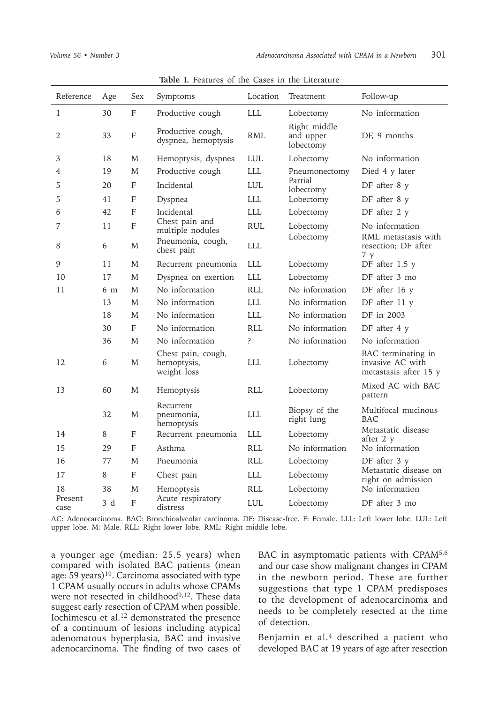| Reference       | Age            | <b>Sex</b>                | Symptoms                                         | Location    | Treatment                              | Follow-up                                                       |
|-----------------|----------------|---------------------------|--------------------------------------------------|-------------|----------------------------------------|-----------------------------------------------------------------|
| 1               | 30             | F                         | Productive cough                                 | <b>LLL</b>  | Lobectomy                              | No information                                                  |
| 2               | 33             | $\mathbf F$               | Productive cough,<br>dyspnea, hemoptysis         | <b>RML</b>  | Right middle<br>and upper<br>lobectomy | DF, 9 months                                                    |
| 3               | 18             | M                         | Hemoptysis, dyspnea                              | <b>LUL</b>  | Lobectomy                              | No information                                                  |
| 4               | 19             | M                         | Productive cough                                 | <b>LLL</b>  | Pneumonectomy                          | Died 4 y later                                                  |
| 5               | 20             | F                         | Incidental                                       | <b>LUL</b>  | Partial<br>lobectomy                   | DF after 8 y                                                    |
| 5               | 41             | F                         | Dyspnea                                          | <b>LLL</b>  | Lobectomy                              | DF after 8 y                                                    |
| 6               | 42             | F                         | Incidental                                       | <b>LLL</b>  | Lobectomy                              | DF after 2 y                                                    |
| 7               | 11             | $\boldsymbol{\mathrm{F}}$ | Chest pain and<br>multiple nodules               | <b>RUL</b>  | Lobectomy<br>Lobectomy                 | No information<br>RML metastasis with                           |
| 8               | 6              | M                         | Pneumonia, cough,<br>chest pain                  | <b>LLL</b>  |                                        | resection; DF after<br>7 y                                      |
| 9               | 11             | M                         | Recurrent pneumonia                              | <b>LLL</b>  | Lobectomy                              | DF after 1.5 y                                                  |
| 10              | 17             | M                         | Dyspnea on exertion                              | <b>LLL</b>  | Lobectomy                              | DF after 3 mo                                                   |
| 11              | 6 <sub>m</sub> | M                         | No information                                   | <b>RLL</b>  | No information                         | DF after 16 y                                                   |
|                 | 13             | M                         | No information                                   | <b>LLL</b>  | No information                         | DF after 11 y                                                   |
|                 | 18             | M                         | No information                                   | <b>LLL</b>  | No information                         | DF in 2003                                                      |
|                 | 30             | F                         | No information                                   | <b>RLL</b>  | No information                         | DF after 4 y                                                    |
|                 | 36             | M                         | No information                                   | $\tilde{?}$ | No information                         | No information                                                  |
| 12              | 6              | M                         | Chest pain, cough,<br>hemoptysis,<br>weight loss | <b>LLL</b>  | Lobectomy                              | BAC terminating in<br>invasive AC with<br>metastasis after 15 y |
| 13              | 60             | M                         | Hemoptysis                                       | <b>RLL</b>  | Lobectomy                              | Mixed AC with BAC<br>pattern                                    |
|                 | 32             | M                         | Recurrent<br>pneumonia,<br>hemoptysis            | <b>LLL</b>  | Biopsy of the<br>right lung            | Multifocal mucinous<br>BAC                                      |
| 14              | 8              | F                         | Recurrent pneumonia                              | <b>LLL</b>  | Lobectomy                              | Metastatic disease<br>after 2 y                                 |
| 15              | 29             | F                         | Asthma                                           | RLI.        | No information                         | No information                                                  |
| 16              | 77             | M                         | Pneumonia                                        | <b>RLL</b>  | Lobectomy                              | DF after $3 \text{ y}$                                          |
| 17              | 8              | F                         | Chest pain                                       | <b>LLL</b>  | Lobectomy                              | Metastatic disease on<br>right on admission                     |
| 18              | 38             | M                         | Hemoptysis                                       | <b>RLL</b>  | Lobectomy                              | No information                                                  |
| Present<br>case | 3d             | $\mathbf{F}$              | Acute respiratory<br>distress                    | <b>LUL</b>  | Lobectomy                              | DF after 3 mo                                                   |

**Table I.** Features of the Cases in the Literature

AC: Adenocarcinoma. BAC: Bronchioalveolar carcinoma. DF: Disease-free. F: Female. LLL: Left lower lobe. LUL: Left upper lobe. M: Male. RLL: Right lower lobe. RML: Right middle lobe.

a younger age (median: 25.5 years) when compared with isolated BAC patients (mean age:  $59$  years)<sup>19</sup>. Carcinoma associated with type 1 CPAM usually occurs in adults whose CPAMs were not resected in childhood<sup>9,12</sup>. These data suggest early resection of CPAM when possible. Iochimescu et al.<sup>12</sup> demonstrated the presence of a continuum of lesions including atypical adenomatous hyperplasia, BAC and invasive adenocarcinoma. The finding of two cases of BAC in asymptomatic patients with CPAM5,6 and our case show malignant changes in CPAM in the newborn period. These are further suggestions that type 1 CPAM predisposes to the development of adenocarcinoma and needs to be completely resected at the time of detection.

Benjamin et al.<sup>4</sup> described a patient who developed BAC at 19 years of age after resection